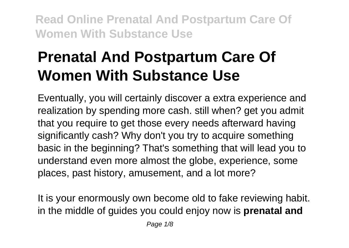# **Prenatal And Postpartum Care Of Women With Substance Use**

Eventually, you will certainly discover a extra experience and realization by spending more cash. still when? get you admit that you require to get those every needs afterward having significantly cash? Why don't you try to acquire something basic in the beginning? That's something that will lead you to understand even more almost the globe, experience, some places, past history, amusement, and a lot more?

It is your enormously own become old to fake reviewing habit. in the middle of guides you could enjoy now is **prenatal and**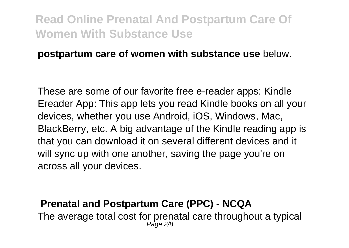#### **postpartum care of women with substance use** below.

These are some of our favorite free e-reader apps: Kindle Ereader App: This app lets you read Kindle books on all your devices, whether you use Android, iOS, Windows, Mac, BlackBerry, etc. A big advantage of the Kindle reading app is that you can download it on several different devices and it will sync up with one another, saving the page you're on across all your devices.

#### **Prenatal and Postpartum Care (PPC) - NCQA**

The average total cost for prenatal care throughout a typical Page 2/8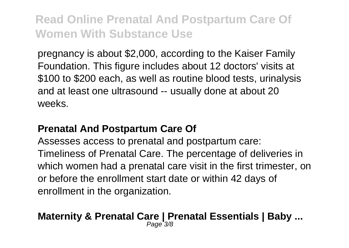pregnancy is about \$2,000, according to the Kaiser Family Foundation. This figure includes about 12 doctors' visits at \$100 to \$200 each, as well as routine blood tests, urinalysis and at least one ultrasound -- usually done at about 20 weeks.

### **Prenatal And Postpartum Care Of**

Assesses access to prenatal and postpartum care: Timeliness of Prenatal Care. The percentage of deliveries in which women had a prenatal care visit in the first trimester, on or before the enrollment start date or within 42 days of enrollment in the organization.

#### **Maternity & Prenatal Care | Prenatal Essentials | Baby ...** Page 3/8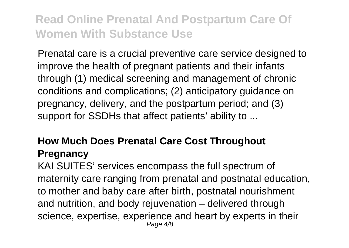Prenatal care is a crucial preventive care service designed to improve the health of pregnant patients and their infants through (1) medical screening and management of chronic conditions and complications; (2) anticipatory guidance on pregnancy, delivery, and the postpartum period; and (3) support for SSDHs that affect patients' ability to ...

### **How Much Does Prenatal Care Cost Throughout Pregnancy**

KAI SUITES' services encompass the full spectrum of maternity care ranging from prenatal and postnatal education, to mother and baby care after birth, postnatal nourishment and nutrition, and body rejuvenation – delivered through science, expertise, experience and heart by experts in their Page  $4/8$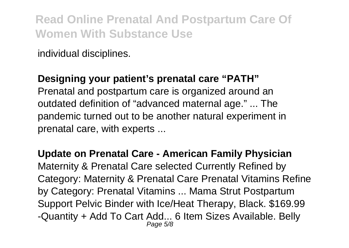individual disciplines.

### **Designing your patient's prenatal care "PATH"**

Prenatal and postpartum care is organized around an outdated definition of "advanced maternal age." ... The pandemic turned out to be another natural experiment in prenatal care, with experts ...

### **Update on Prenatal Care - American Family Physician** Maternity & Prenatal Care selected Currently Refined by Category: Maternity & Prenatal Care Prenatal Vitamins Refine by Category: Prenatal Vitamins ... Mama Strut Postpartum Support Pelvic Binder with Ice/Heat Therapy, Black. \$169.99 -Quantity + Add To Cart Add... 6 Item Sizes Available. Belly Page 5/8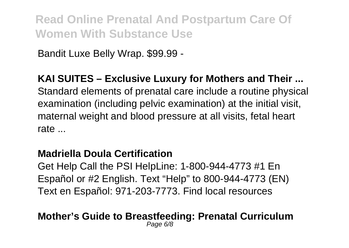Bandit Luxe Belly Wrap. \$99.99 -

### **KAI SUITES – Exclusive Luxury for Mothers and Their ...**

Standard elements of prenatal care include a routine physical examination (including pelvic examination) at the initial visit, maternal weight and blood pressure at all visits, fetal heart rate ...

#### **Madriella Doula Certification**

Get Help Call the PSI HelpLine: 1-800-944-4773 #1 En Español or #2 English. Text "Help" to 800-944-4773 (EN) Text en Español: 971-203-7773. Find local resources

#### **Mother's Guide to Breastfeeding: Prenatal Curriculum** Page 6/8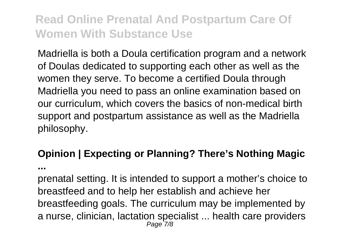Madriella is both a Doula certification program and a network of Doulas dedicated to supporting each other as well as the women they serve. To become a certified Doula through Madriella you need to pass an online examination based on our curriculum, which covers the basics of non-medical birth support and postpartum assistance as well as the Madriella philosophy.

### **Opinion | Expecting or Planning? There's Nothing Magic**

**...**

prenatal setting. It is intended to support a mother's choice to breastfeed and to help her establish and achieve her breastfeeding goals. The curriculum may be implemented by a nurse, clinician, lactation specialist ... health care providers Page<sup>-</sup>7/8